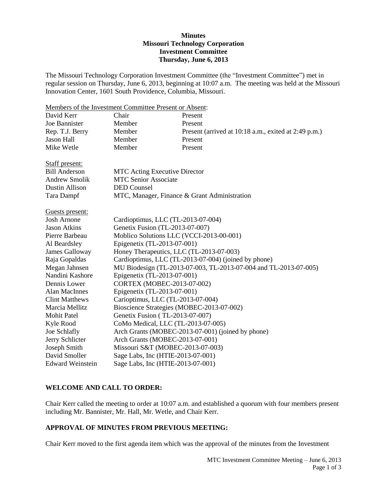## **Minutes Missouri Technology Corporation Investment Committee Thursday, June 6, 2013**

The Missouri Technology Corporation Investment Committee (the "Investment Committee") met in regular session on Thursday, June 6, 2013, beginning at 10:07 a.m. The meeting was held at the Missouri Innovation Center, 1601 South Providence, Columbia, Missouri.

Members of the Investment Committee Present or Absent: David Kerr Chair Present Joe Bannister Member Present Rep. T.J. Berry Member Present (arrived at 10:18 a.m., exited at 2:49 p.m.) Jason Hall Member Present Mike Wetle Member Present Staff present: Bill Anderson MTC Acting Executive Director Andrew Smolik MTC Senior Associate Dustin Allison DED Counsel Tara Dampf MTC, Manager, Finance & Grant Administration Guests present: Josh Arnone Cardioptimus, LLC (TL-2013-07-004) Jason Atkins Genetix Fusion (TL-2013-07-007) Pierre Barbeau Moblico Solutions LLC (VCCI-2013-00-001) Al Beardsley Epigenetix (TL-2013-07-001) James Galloway Honey Therapeutics, LLC (TL-2013-07-003) Raja Gopaldas Cardioptimus, LLC (TL-2013-07-004) (joined by phone) Megan Jahnsen MU Biodesign (TL-2013-07-003, TL-2013-07-004 and TL-2013-07-005) Nandini Kashore Epigenetix (TL-2013-07-001) Dennis Lower CORTEX (MOBEC-2013-07-002) Alan MacInnes Epigenetix (TL-2013-07-001) Clint Matthews Carioptimus, LLC (TL-2013-07-004) Marcia Mellitz Bioscience Strategies (MOBEC-2013-07-002) Mohit Patel Genetix Fusion (TL-2013-07-007) Kyle Rood CoMo Medical, LLC (TL-2013-07-005) Joe Schlafly Arch Grants (MOBEC-2013-07-001) (joined by phone) Jerry Schlicter Arch Grants (MOBEC-2013-07-001) Joseph Smith Missouri S&T (MOBEC-2013-07-003) David Smoller Sage Labs, Inc (HTIE-2013-07-001) Edward Weinstein Sage Labs, Inc (HTIE-2013-07-001)

## **WELCOME AND CALL TO ORDER:**

Chair Kerr called the meeting to order at 10:07 a.m. and established a quorum with four members present including Mr. Bannister, Mr. Hall, Mr. Wetle, and Chair Kerr.

## **APPROVAL OF MINUTES FROM PREVIOUS MEETING:**

Chair Kerr moved to the first agenda item which was the approval of the minutes from the Investment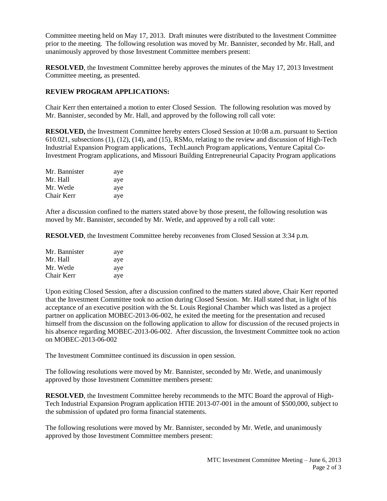Committee meeting held on May 17, 2013. Draft minutes were distributed to the Investment Committee prior to the meeting. The following resolution was moved by Mr. Bannister, seconded by Mr. Hall, and unanimously approved by those Investment Committee members present:

**RESOLVED**, the Investment Committee hereby approves the minutes of the May 17, 2013 Investment Committee meeting, as presented.

# **REVIEW PROGRAM APPLICATIONS:**

Chair Kerr then entertained a motion to enter Closed Session. The following resolution was moved by Mr. Bannister, seconded by Mr. Hall, and approved by the following roll call vote:

**RESOLVED,** the Investment Committee hereby enters Closed Session at 10:08 a.m. pursuant to Section 610.021, subsections (1), (12), (14), and (15), RSMo, relating to the review and discussion of High-Tech Industrial Expansion Program applications, TechLaunch Program applications, Venture Capital Co-Investment Program applications, and Missouri Building Entrepreneurial Capacity Program applications

| Mr. Bannister | aye |
|---------------|-----|
| Mr. Hall      | aye |
| Mr. Wetle     | aye |
| Chair Kerr    | aye |

After a discussion confined to the matters stated above by those present, the following resolution was moved by Mr. Bannister, seconded by Mr. Wetle, and approved by a roll call vote:

**RESOLVED**, the Investment Committee hereby reconvenes from Closed Session at 3:34 p.m.

| Mr. Bannister | aye |
|---------------|-----|
| Mr. Hall      | aye |
| Mr. Wetle     | aye |
| Chair Kerr    | aye |

Upon exiting Closed Session, after a discussion confined to the matters stated above, Chair Kerr reported that the Investment Committee took no action during Closed Session. Mr. Hall stated that, in light of his acceptance of an executive position with the St. Louis Regional Chamber which was listed as a project partner on application MOBEC-2013-06-002, he exited the meeting for the presentation and recused himself from the discussion on the following application to allow for discussion of the recused projects in his absence regarding MOBEC-2013-06-002. After discussion, the Investment Committee took no action on MOBEC-2013-06-002

The Investment Committee continued its discussion in open session.

The following resolutions were moved by Mr. Bannister, seconded by Mr. Wetle, and unanimously approved by those Investment Committee members present:

**RESOLVED**, the Investment Committee hereby recommends to the MTC Board the approval of High-Tech Industrial Expansion Program application HTIE 2013-07-001 in the amount of \$500,000, subject to the submission of updated pro forma financial statements.

The following resolutions were moved by Mr. Bannister, seconded by Mr. Wetle, and unanimously approved by those Investment Committee members present: